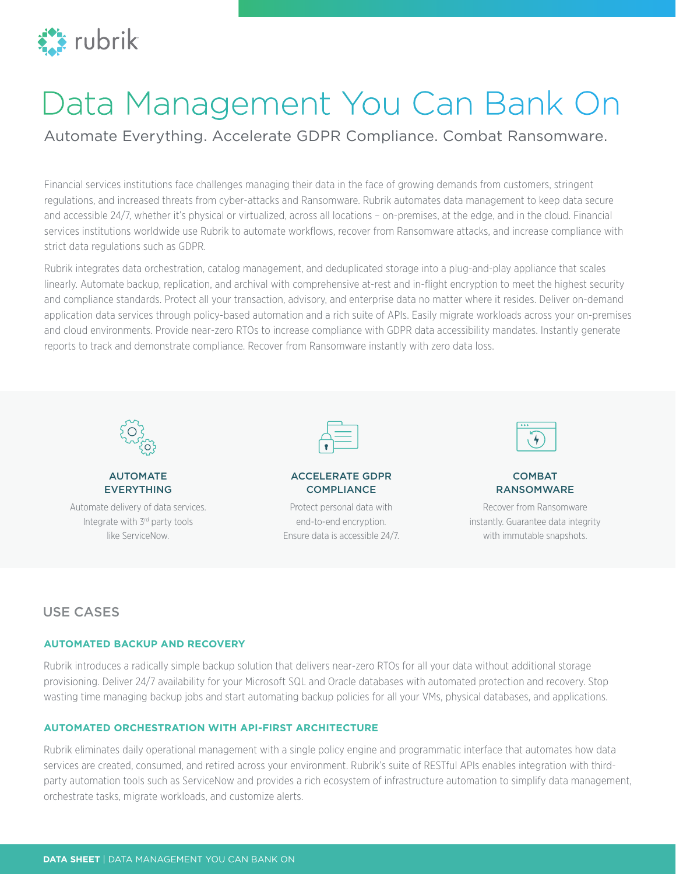

# Data Management You Can Bank On

Automate Everything. Accelerate GDPR Compliance. Combat Ransomware.

Financial services institutions face challenges managing their data in the face of growing demands from customers, stringent regulations, and increased threats from cyber-attacks and Ransomware. Rubrik automates data management to keep data secure and accessible 24/7, whether it's physical or virtualized, across all locations – on-premises, at the edge, and in the cloud. Financial services institutions worldwide use Rubrik to automate workflows, recover from Ransomware attacks, and increase compliance with strict data regulations such as GDPR.

Rubrik integrates data orchestration, catalog management, and deduplicated storage into a plug-and-play appliance that scales linearly. Automate backup, replication, and archival with comprehensive at-rest and in-flight encryption to meet the highest security and compliance standards. Protect all your transaction, advisory, and enterprise data no matter where it resides. Deliver on-demand application data services through policy-based automation and a rich suite of APIs. Easily migrate workloads across your on-premises and cloud environments. Provide near-zero RTOs to increase compliance with GDPR data accessibility mandates. Instantly generate reports to track and demonstrate compliance. Recover from Ransomware instantly with zero data loss.



# AUTOMATE EVERYTHING

Automate delivery of data services. Integrate with 3rd party tools like ServiceNow.



## ACCELERATE GDPR **COMPLIANCE**

Protect personal data with end-to-end encryption. Ensure data is accessible 24/7.



## **COMBAT** RANSOMWARE

Recover from Ransomware instantly. Guarantee data integrity with immutable snapshots.

# USE CASES

# **AUTOMATED BACKUP AND RECOVERY**

Rubrik introduces a radically simple backup solution that delivers near-zero RTOs for all your data without additional storage provisioning. Deliver 24/7 availability for your Microsoft SQL and Oracle databases with automated protection and recovery. Stop wasting time managing backup jobs and start automating backup policies for all your VMs, physical databases, and applications.

# **AUTOMATED ORCHESTRATION WITH API-FIRST ARCHITECTURE**

Rubrik eliminates daily operational management with a single policy engine and programmatic interface that automates how data services are created, consumed, and retired across your environment. Rubrik's suite of RESTful APIs enables integration with thirdparty automation tools such as ServiceNow and provides a rich ecosystem of infrastructure automation to simplify data management, orchestrate tasks, migrate workloads, and customize alerts.